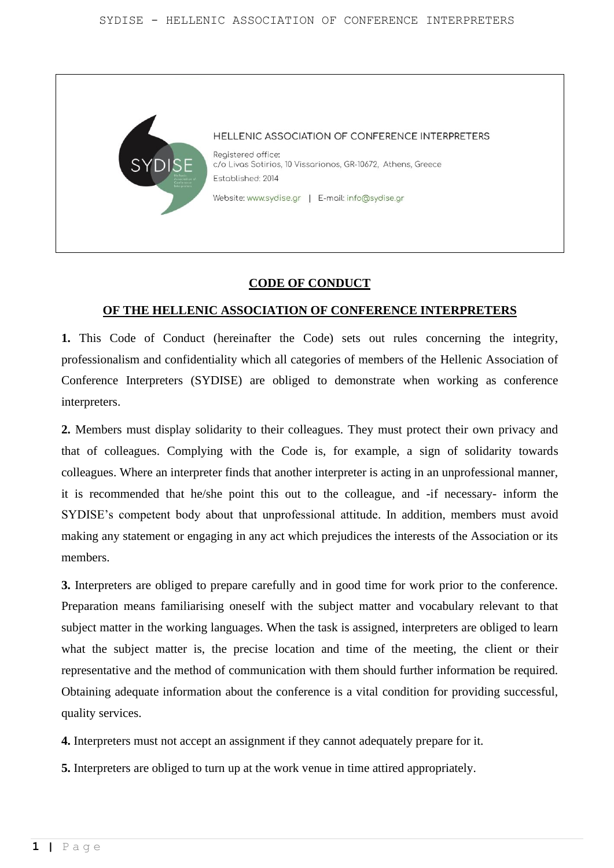

# **CODE OF CONDUCT**

## **OF THE HELLENIC ASSOCIATION OF CONFERENCE INTERPRETERS**

**1.** This Code of Conduct (hereinafter the Code) sets out rules concerning the integrity, professionalism and confidentiality which all categories of members of the Hellenic Association of Conference Interpreters (SYDISE) are obliged to demonstrate when working as conference interpreters.

**2.** Members must display solidarity to their colleagues. They must protect their own privacy and that of colleagues. Complying with the Code is, for example, a sign of solidarity towards colleagues. Where an interpreter finds that another interpreter is acting in an unprofessional manner, it is recommended that he/she point this out to the colleague, and -if necessary- inform the SYDISE's competent body about that unprofessional attitude. In addition, members must avoid making any statement or engaging in any act which prejudices the interests of the Association or its members.

**3.** Interpreters are obliged to prepare carefully and in good time for work prior to the conference. Preparation means familiarising oneself with the subject matter and vocabulary relevant to that subject matter in the working languages. When the task is assigned, interpreters are obliged to learn what the subject matter is, the precise location and time of the meeting, the client or their representative and the method of communication with them should further information be required. Obtaining adequate information about the conference is a vital condition for providing successful, quality services.

**4.** Interpreters must not accept an assignment if they cannot adequately prepare for it.

**5.** Interpreters are obliged to turn up at the work venue in time attired appropriately.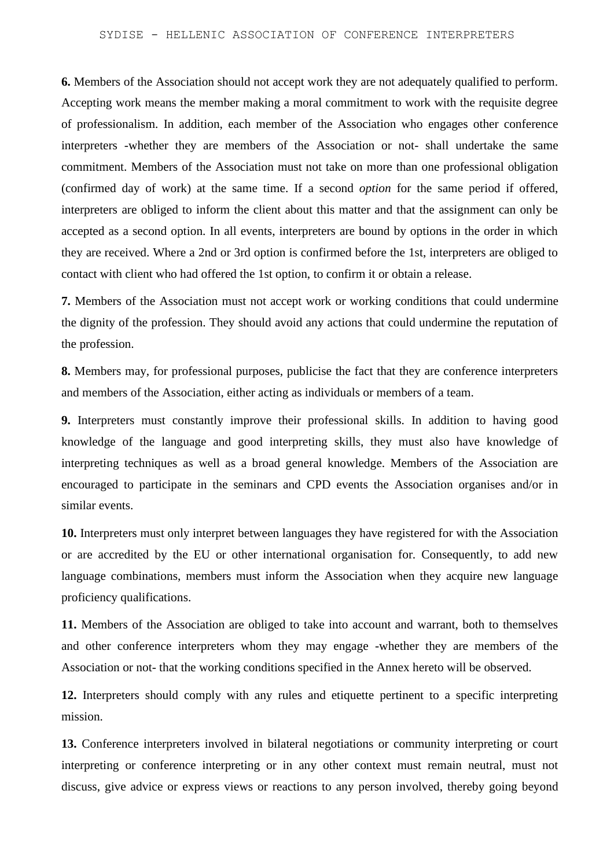**6.** Members of the Association should not accept work they are not adequately qualified to perform. Accepting work means the member making a moral commitment to work with the requisite degree of professionalism. In addition, each member of the Association who engages other conference interpreters -whether they are members of the Association or not- shall undertake the same commitment. Members of the Association must not take on more than one professional obligation (confirmed day of work) at the same time. If a second *option* for the same period if offered, interpreters are obliged to inform the client about this matter and that the assignment can only be accepted as a second option. In all events, interpreters are bound by options in the order in which they are received. Where a 2nd or 3rd option is confirmed before the 1st, interpreters are obliged to contact with client who had offered the 1st option, to confirm it or obtain a release.

**7.** Members of the Association must not accept work or working conditions that could undermine the dignity of the profession. They should avoid any actions that could undermine the reputation of the profession.

**8.** Members may, for professional purposes, publicise the fact that they are conference interpreters and members of the Association, either acting as individuals or members of a team.

**9.** Interpreters must constantly improve their professional skills. In addition to having good knowledge of the language and good interpreting skills, they must also have knowledge of interpreting techniques as well as a broad general knowledge. Members of the Association are encouraged to participate in the seminars and CPD events the Association organises and/or in similar events.

**10.** Interpreters must only interpret between languages they have registered for with the Association or are accredited by the EU or other international organisation for. Consequently, to add new language combinations, members must inform the Association when they acquire new language proficiency qualifications.

**11.** Members of the Association are obliged to take into account and warrant, both to themselves and other conference interpreters whom they may engage -whether they are members of the Association or not- that the working conditions specified in the Annex hereto will be observed.

**12.** Interpreters should comply with any rules and etiquette pertinent to a specific interpreting mission.

**13.** Conference interpreters involved in bilateral negotiations or community interpreting or court interpreting or conference interpreting or in any other context must remain neutral, must not discuss, give advice or express views or reactions to any person involved, thereby going beyond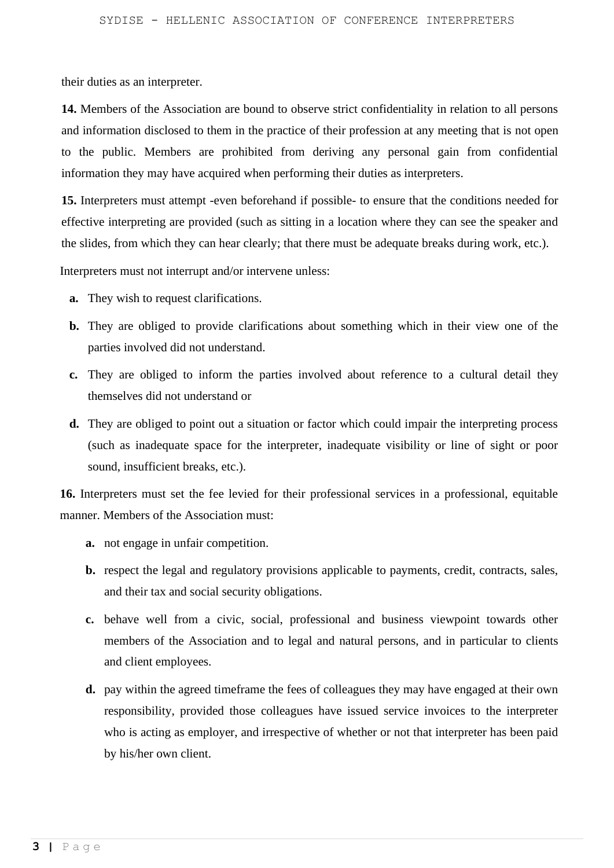their duties as an interpreter.

**14.** Members of the Association are bound to observe strict confidentiality in relation to all persons and information disclosed to them in the practice of their profession at any meeting that is not open to the public. Members are prohibited from deriving any personal gain from confidential information they may have acquired when performing their duties as interpreters.

**15.** Interpreters must attempt -even beforehand if possible- to ensure that the conditions needed for effective interpreting are provided (such as sitting in a location where they can see the speaker and the slides, from which they can hear clearly; that there must be adequate breaks during work, etc.).

Interpreters must not interrupt and/or intervene unless:

- **a.** They wish to request clarifications.
- **b.** They are obliged to provide clarifications about something which in their view one of the parties involved did not understand.
- **c.** They are obliged to inform the parties involved about reference to a cultural detail they themselves did not understand or
- **d.** They are obliged to point out a situation or factor which could impair the interpreting process (such as inadequate space for the interpreter, inadequate visibility or line of sight or poor sound, insufficient breaks, etc.).

**16.** Interpreters must set the fee levied for their professional services in a professional, equitable manner. Members of the Association must:

- **a.** not engage in unfair competition.
- **b.** respect the legal and regulatory provisions applicable to payments, credit, contracts, sales, and their tax and social security obligations.
- **c.** behave well from a civic, social, professional and business viewpoint towards other members of the Association and to legal and natural persons, and in particular to clients and client employees.
- **d.** pay within the agreed timeframe the fees of colleagues they may have engaged at their own responsibility, provided those colleagues have issued service invoices to the interpreter who is acting as employer, and irrespective of whether or not that interpreter has been paid by his/her own client.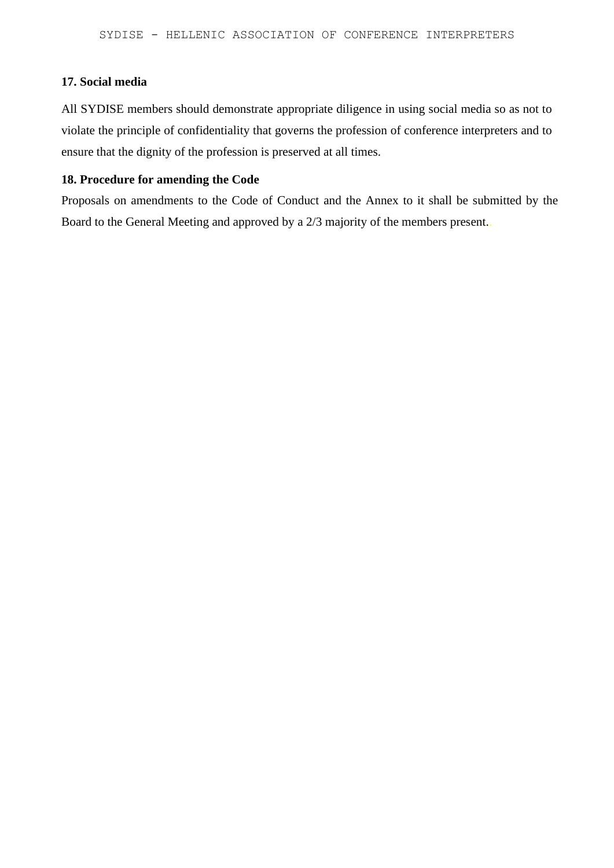## **17. Social media**

All SYDISE members should demonstrate appropriate diligence in using social media so as not to violate the principle of confidentiality that governs the profession of conference interpreters and to ensure that the dignity of the profession is preserved at all times.

# **18. Procedure for amending the Code**

Proposals on amendments to the Code of Conduct and the Annex to it shall be submitted by the Board to the General Meeting and approved by a 2/3 majority of the members present..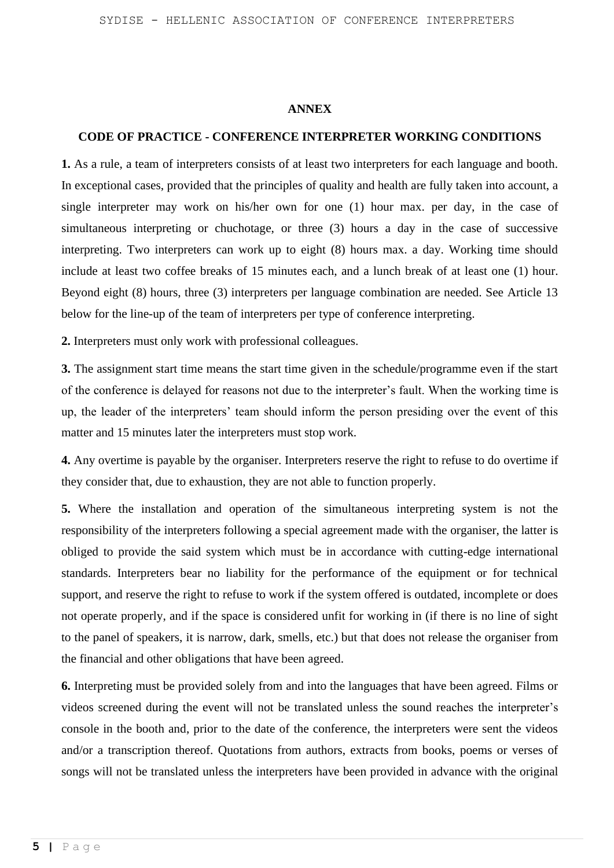#### **ANNEX**

#### **CODE OF PRACTICE - CONFERENCE INTERPRETER WORKING CONDITIONS**

**1.** As a rule, a team of interpreters consists of at least two interpreters for each language and booth. In exceptional cases, provided that the principles of quality and health are fully taken into account, a single interpreter may work on his/her own for one (1) hour max. per day, in the case of simultaneous interpreting or chuchotage, or three (3) hours a day in the case of successive interpreting. Two interpreters can work up to eight (8) hours max. a day. Working time should include at least two coffee breaks of 15 minutes each, and a lunch break of at least one (1) hour. Beyond eight (8) hours, three (3) interpreters per language combination are needed. See Article 13 below for the line-up of the team of interpreters per type of conference interpreting.

**2.** Interpreters must only work with professional colleagues.

**3.** The assignment start time means the start time given in the schedule/programme even if the start of the conference is delayed for reasons not due to the interpreter's fault. When the working time is up, the leader of the interpreters' team should inform the person presiding over the event of this matter and 15 minutes later the interpreters must stop work.

**4.** Any overtime is payable by the organiser. Interpreters reserve the right to refuse to do overtime if they consider that, due to exhaustion, they are not able to function properly.

**5.** Where the installation and operation of the simultaneous interpreting system is not the responsibility of the interpreters following a special agreement made with the organiser, the latter is obliged to provide the said system which must be in accordance with cutting-edge international standards. Interpreters bear no liability for the performance of the equipment or for technical support, and reserve the right to refuse to work if the system offered is outdated, incomplete or does not operate properly, and if the space is considered unfit for working in (if there is no line of sight to the panel of speakers, it is narrow, dark, smells, etc.) but that does not release the organiser from the financial and other obligations that have been agreed.

**6.** Interpreting must be provided solely from and into the languages that have been agreed. Films or videos screened during the event will not be translated unless the sound reaches the interpreter's console in the booth and, prior to the date of the conference, the interpreters were sent the videos and/or a transcription thereof. Quotations from authors, extracts from books, poems or verses of songs will not be translated unless the interpreters have been provided in advance with the original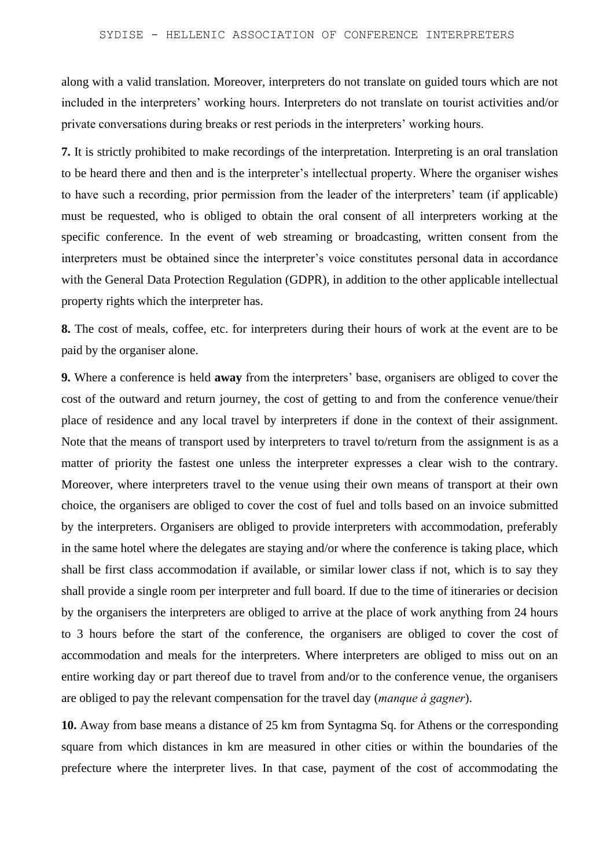along with a valid translation. Moreover, interpreters do not translate on guided tours which are not included in the interpreters' working hours. Interpreters do not translate on tourist activities and/or private conversations during breaks or rest periods in the interpreters' working hours.

**7.** It is strictly prohibited to make recordings of the interpretation. Interpreting is an oral translation to be heard there and then and is the interpreter's intellectual property. Where the organiser wishes to have such a recording, prior permission from the leader of the interpreters' team (if applicable) must be requested, who is obliged to obtain the oral consent of all interpreters working at the specific conference. In the event of web streaming or broadcasting, written consent from the interpreters must be obtained since the interpreter's voice constitutes personal data in accordance with the General Data Protection Regulation (GDPR), in addition to the other applicable intellectual property rights which the interpreter has.

**8.** The cost of meals, coffee, etc. for interpreters during their hours of work at the event are to be paid by the organiser alone.

**9.** Where a conference is held **away** from the interpreters' base, organisers are obliged to cover the cost of the outward and return journey, the cost of getting to and from the conference venue/their place of residence and any local travel by interpreters if done in the context of their assignment. Note that the means of transport used by interpreters to travel to/return from the assignment is as a matter of priority the fastest one unless the interpreter expresses a clear wish to the contrary. Moreover, where interpreters travel to the venue using their own means of transport at their own choice, the organisers are obliged to cover the cost of fuel and tolls based on an invoice submitted by the interpreters. Organisers are obliged to provide interpreters with accommodation, preferably in the same hotel where the delegates are staying and/or where the conference is taking place, which shall be first class accommodation if available, or similar lower class if not, which is to say they shall provide a single room per interpreter and full board. If due to the time of itineraries or decision by the organisers the interpreters are obliged to arrive at the place of work anything from 24 hours to 3 hours before the start of the conference, the organisers are obliged to cover the cost of accommodation and meals for the interpreters. Where interpreters are obliged to miss out on an entire working day or part thereof due to travel from and/or to the conference venue, the organisers are obliged to pay the relevant compensation for the travel day (*manque à gagner*).

**10.** Away from base means a distance of 25 km from Syntagma Sq. for Athens or the corresponding square from which distances in km are measured in other cities or within the boundaries of the prefecture where the interpreter lives. In that case, payment of the cost of accommodating the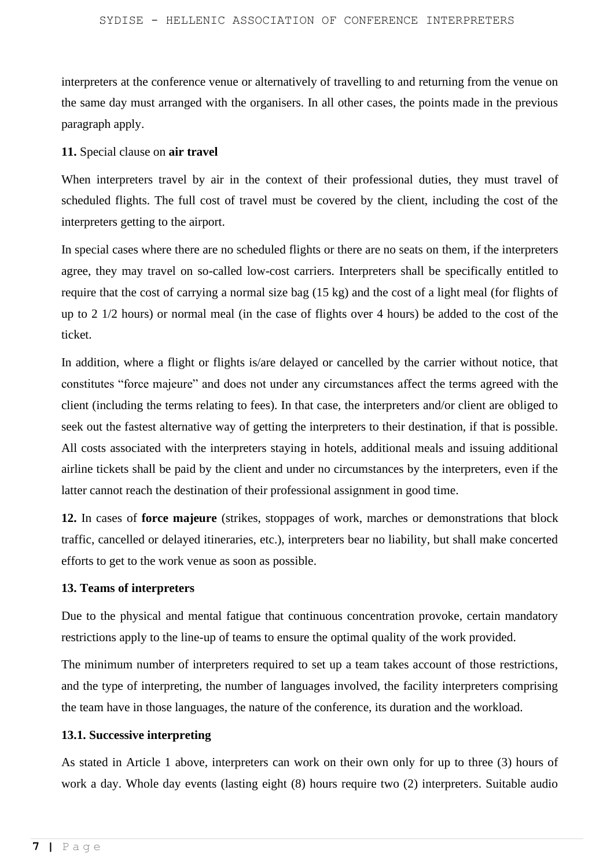interpreters at the conference venue or alternatively of travelling to and returning from the venue on the same day must arranged with the organisers. In all other cases, the points made in the previous paragraph apply.

## **11.** Special clause on **air travel**

When interpreters travel by air in the context of their professional duties, they must travel of scheduled flights. The full cost of travel must be covered by the client, including the cost of the interpreters getting to the airport.

In special cases where there are no scheduled flights or there are no seats on them, if the interpreters agree, they may travel on so-called low-cost carriers. Interpreters shall be specifically entitled to require that the cost of carrying a normal size bag (15 kg) and the cost of a light meal (for flights of up to 2 1/2 hours) or normal meal (in the case of flights over 4 hours) be added to the cost of the ticket.

In addition, where a flight or flights is/are delayed or cancelled by the carrier without notice, that constitutes "force majeure" and does not under any circumstances affect the terms agreed with the client (including the terms relating to fees). In that case, the interpreters and/or client are obliged to seek out the fastest alternative way of getting the interpreters to their destination, if that is possible. All costs associated with the interpreters staying in hotels, additional meals and issuing additional airline tickets shall be paid by the client and under no circumstances by the interpreters, even if the latter cannot reach the destination of their professional assignment in good time.

**12.** In cases of **force majeure** (strikes, stoppages of work, marches or demonstrations that block traffic, cancelled or delayed itineraries, etc.), interpreters bear no liability, but shall make concerted efforts to get to the work venue as soon as possible.

## **13. Teams of interpreters**

Due to the physical and mental fatigue that continuous concentration provoke, certain mandatory restrictions apply to the line-up of teams to ensure the optimal quality of the work provided.

The minimum number of interpreters required to set up a team takes account of those restrictions, and the type of interpreting, the number of languages involved, the facility interpreters comprising the team have in those languages, the nature of the conference, its duration and the workload.

# **13.1. Successive interpreting**

As stated in Article 1 above, interpreters can work on their own only for up to three (3) hours of work a day. Whole day events (lasting eight (8) hours require two (2) interpreters. Suitable audio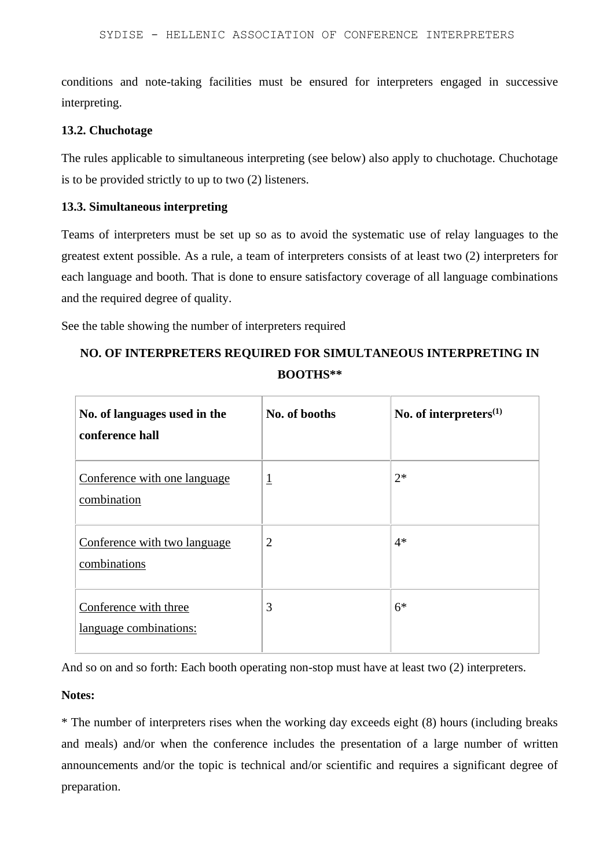conditions and note-taking facilities must be ensured for interpreters engaged in successive interpreting.

#### **13.2. Chuchotage**

The rules applicable to simultaneous interpreting (see below) also apply to chuchotage. Chuchotage is to be provided strictly to up to two (2) listeners.

#### **13.3. Simultaneous interpreting**

Teams of interpreters must be set up so as to avoid the systematic use of relay languages to the greatest extent possible. As a rule, a team of interpreters consists of at least two (2) interpreters for each language and booth. That is done to ensure satisfactory coverage of all language combinations and the required degree of quality.

See the table showing the number of interpreters required

# **NO. OF INTERPRETERS REQUIRED FOR SIMULTANEOUS INTERPRETING IN BOOTHS\*\***

| No. of languages used in the<br>conference hall | No. of booths  | No. of interpreters $(1)$ |
|-------------------------------------------------|----------------|---------------------------|
| Conference with one language<br>combination     | $\overline{1}$ | $2*$                      |
| Conference with two language<br>combinations    | $\overline{2}$ | $4*$                      |
| Conference with three<br>language combinations: | 3              | $6*$                      |

And so on and so forth: Each booth operating non-stop must have at least two (2) interpreters.

#### **Notes:**

\* The number of interpreters rises when the working day exceeds eight (8) hours (including breaks and meals) and/or when the conference includes the presentation of a large number of written announcements and/or the topic is technical and/or scientific and requires a significant degree of preparation.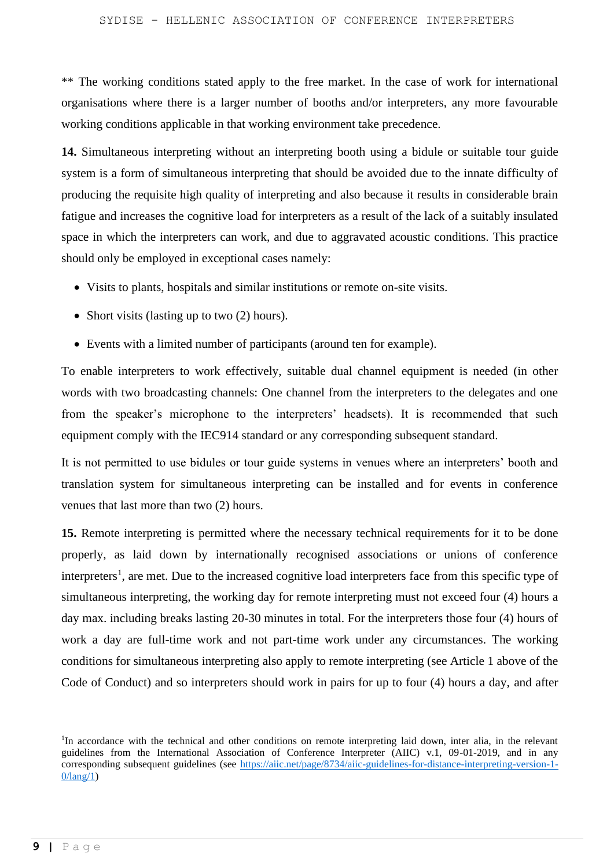\*\* The working conditions stated apply to the free market. In the case of work for international organisations where there is a larger number of booths and/or interpreters, any more favourable working conditions applicable in that working environment take precedence.

**14.** Simultaneous interpreting without an interpreting booth using a bidule or suitable tour guide system is a form of simultaneous interpreting that should be avoided due to the innate difficulty of producing the requisite high quality of interpreting and also because it results in considerable brain fatigue and increases the cognitive load for interpreters as a result of the lack of a suitably insulated space in which the interpreters can work, and due to aggravated acoustic conditions. This practice should only be employed in exceptional cases namely:

- Visits to plants, hospitals and similar institutions or remote on-site visits.
- Short visits (lasting up to two (2) hours).
- Events with a limited number of participants (around ten for example).

To enable interpreters to work effectively, suitable dual channel equipment is needed (in other words with two broadcasting channels: One channel from the interpreters to the delegates and one from the speaker's microphone to the interpreters' headsets). It is recommended that such equipment comply with the IEC914 standard or any corresponding subsequent standard.

It is not permitted to use bidules or tour guide systems in venues where an interpreters' booth and translation system for simultaneous interpreting can be installed and for events in conference venues that last more than two (2) hours.

**15.** Remote interpreting is permitted where the necessary technical requirements for it to be done properly, as laid down by internationally recognised associations or unions of conference interpreters<sup>1</sup>, are met. Due to the increased cognitive load interpreters face from this specific type of simultaneous interpreting, the working day for remote interpreting must not exceed four (4) hours a day max. including breaks lasting 20-30 minutes in total. For the interpreters those four (4) hours of work a day are full-time work and not part-time work under any circumstances. The working conditions for simultaneous interpreting also apply to remote interpreting (see Article 1 above of the Code of Conduct) and so interpreters should work in pairs for up to four (4) hours a day, and after

<sup>&</sup>lt;sup>1</sup>In accordance with the technical and other conditions on remote interpreting laid down, inter alia, in the relevant guidelines from the International Association of Conference Interpreter (AIIC) v.1, 09-01-2019, and in any corresponding subsequent guidelines (see [https://aiic.net/page/8734/aiic-guidelines-for-distance-interpreting-version-1-](https://aiic.net/page/8734/aiic-guidelines-for-distance-interpreting-version-1-0/lang/1) [0/lang/1\)](https://aiic.net/page/8734/aiic-guidelines-for-distance-interpreting-version-1-0/lang/1)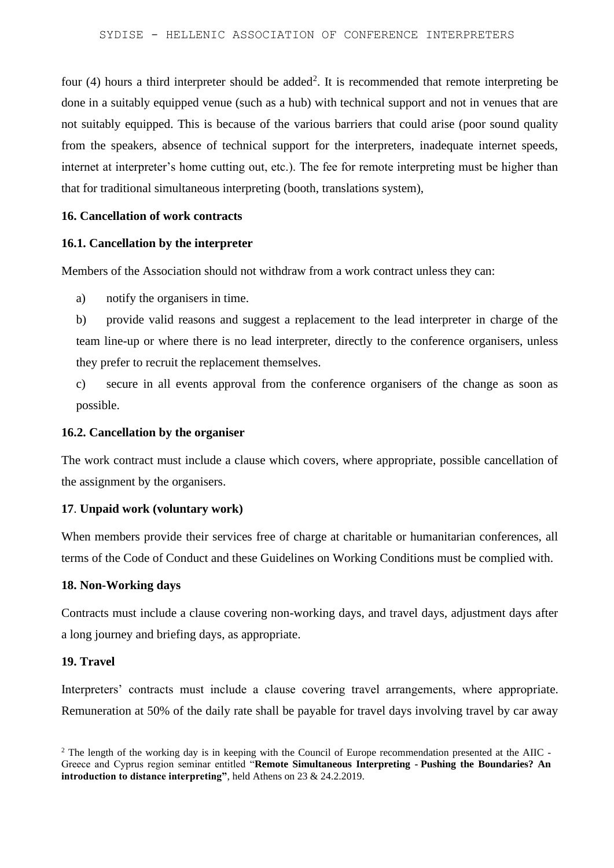four (4) hours a third interpreter should be added<sup>2</sup>. It is recommended that remote interpreting be done in a suitably equipped venue (such as a hub) with technical support and not in venues that are not suitably equipped. This is because of the various barriers that could arise (poor sound quality from the speakers, absence of technical support for the interpreters, inadequate internet speeds, internet at interpreter's home cutting out, etc.). The fee for remote interpreting must be higher than that for traditional simultaneous interpreting (booth, translations system),

#### **16. Cancellation of work contracts**

#### **16.1. Cancellation by the interpreter**

Members of the Association should not withdraw from a work contract unless they can:

a) notify the organisers in time.

b) provide valid reasons and suggest a replacement to the lead interpreter in charge of the team line-up or where there is no lead interpreter, directly to the conference organisers, unless they prefer to recruit the replacement themselves.

c) secure in all events approval from the conference organisers of the change as soon as possible.

#### **16.2. Cancellation by the organiser**

The work contract must include a clause which covers, where appropriate, possible cancellation of the assignment by the organisers.

#### **17**. **Unpaid work (voluntary work)**

When members provide their services free of charge at charitable or humanitarian conferences, all terms of the Code of Conduct and these Guidelines on Working Conditions must be complied with.

#### **18. Non-Working days**

Contracts must include a clause covering non-working days, and travel days, adjustment days after a long journey and briefing days, as appropriate.

### **19. Travel**

Interpreters' contracts must include a clause covering travel arrangements, where appropriate. Remuneration at 50% of the daily rate shall be payable for travel days involving travel by car away

<sup>&</sup>lt;sup>2</sup> The length of the working day is in keeping with the Council of Europe recommendation presented at the AIIC -Greece and Cyprus region seminar entitled "**Remote Simultaneous Interpreting - Pushing the Boundaries? An introduction to distance interpreting"**, held Athens on 23 & 24.2.2019.